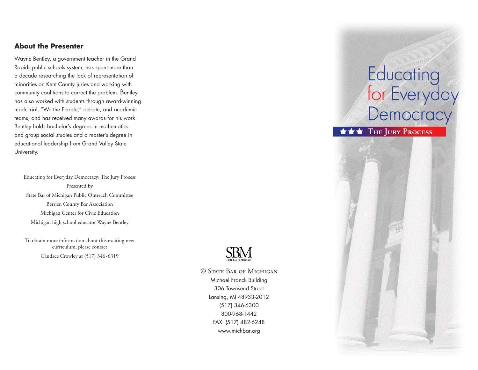## **About the Presenter**

Wayne Bentley, a government teacher in the Grand Rapids public schools system, has spent more than a decade researching the lack of representation of minorities on Kent County juries and working with community coalitions to correct the problem. Bentley has also worked with students through award-winning mock trial, "We the People," debate, and academic teams, and has received many awards for his work. Bentley holds bachelor's degrees in mathematics and group social studies and a master's degree in educational leadership from Grand Valley State University.

Educating for Everyday Democracy: The Jury Process Presented by State Bar of Michigan Public Outreach Committee Berrien County Bar Association Michigan Center for Civic Education Michigan high school educator Wayne Bentley

To obtain more information about this exciting new curriculum, please contact Candace Crowley at (517) 346-6319

SBM

© State Bar of MichiganMichael Franck Building 306 Townsend Street Lansing, MI 48933-2012 (517) 346-6300 800-968-1442FAX: (517) 482-6248 www.michbar.org

## Educating<br>for Everyday<br>Democracy

**\*\*\*** THE JURY PROCESS